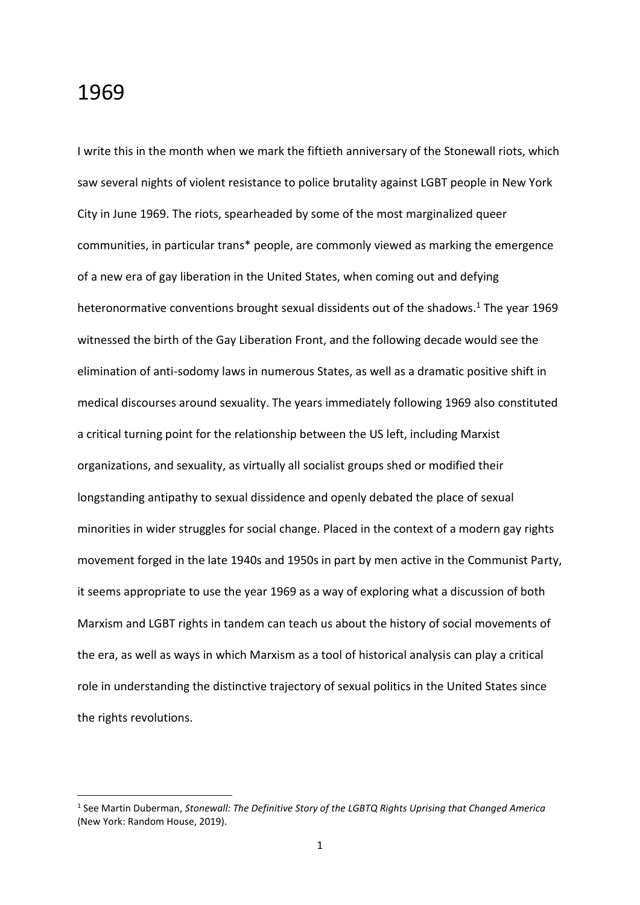## 1969

1

I write this in the month when we mark the fiftieth anniversary of the Stonewall riots, which saw several nights of violent resistance to police brutality against LGBT people in New York City in June 1969. The riots, spearheaded by some of the most marginalized queer communities, in particular trans\* people, are commonly viewed as marking the emergence of a new era of gay liberation in the United States, when coming out and defying heteronormative conventions brought sexual dissidents out of the shadows. <sup>1</sup> The year 1969 witnessed the birth of the Gay Liberation Front, and the following decade would see the elimination of anti-sodomy laws in numerous States, as well as a dramatic positive shift in medical discourses around sexuality. The years immediately following 1969 also constituted a critical turning point for the relationship between the US left, including Marxist organizations, and sexuality, as virtually all socialist groups shed or modified their longstanding antipathy to sexual dissidence and openly debated the place of sexual minorities in wider struggles for social change. Placed in the context of a modern gay rights movement forged in the late 1940s and 1950s in part by men active in the Communist Party, it seems appropriate to use the year 1969 as a way of exploring what a discussion of both Marxism and LGBT rights in tandem can teach us about the history of social movements of the era, as well as ways in which Marxism as a tool of historical analysis can play a critical role in understanding the distinctive trajectory of sexual politics in the United States since the rights revolutions.

<sup>&</sup>lt;sup>1</sup> See Martin Duberman, *Stonewall: The Definitive Story of the LGBTQ Rights Uprising that Changed America* (New York: Random House, 2019).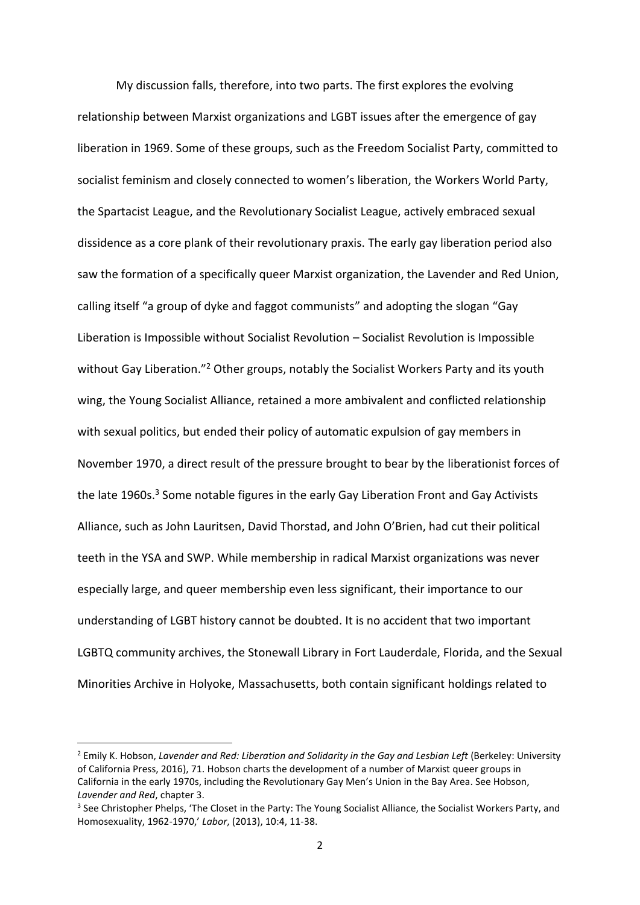My discussion falls, therefore, into two parts. The first explores the evolving relationship between Marxist organizations and LGBT issues after the emergence of gay liberation in 1969. Some of these groups, such as the Freedom Socialist Party, committed to socialist feminism and closely connected to women's liberation, the Workers World Party, the Spartacist League, and the Revolutionary Socialist League, actively embraced sexual dissidence as a core plank of their revolutionary praxis. The early gay liberation period also saw the formation of a specifically queer Marxist organization, the Lavender and Red Union, calling itself "a group of dyke and faggot communists" and adopting the slogan "Gay Liberation is Impossible without Socialist Revolution – Socialist Revolution is Impossible without Gay Liberation."<sup>2</sup> Other groups, notably the Socialist Workers Party and its youth wing, the Young Socialist Alliance, retained a more ambivalent and conflicted relationship with sexual politics, but ended their policy of automatic expulsion of gay members in November 1970, a direct result of the pressure brought to bear by the liberationist forces of the late 1960s.<sup>3</sup> Some notable figures in the early Gay Liberation Front and Gay Activists Alliance, such as John Lauritsen, David Thorstad, and John O'Brien, had cut their political teeth in the YSA and SWP. While membership in radical Marxist organizations was never especially large, and queer membership even less significant, their importance to our understanding of LGBT history cannot be doubted. It is no accident that two important LGBTQ community archives, the Stonewall Library in Fort Lauderdale, Florida, and the Sexual Minorities Archive in Holyoke, Massachusetts, both contain significant holdings related to

<sup>&</sup>lt;sup>2</sup> Emily K. Hobson, *Lavender and Red: Liberation and Solidarity in the Gay and Lesbian Left (Berkeley: University* of California Press, 2016), 71. Hobson charts the development of a number of Marxist queer groups in California in the early 1970s, including the Revolutionary Gay Men's Union in the Bay Area. See Hobson, *Lavender and Red*, chapter 3.

<sup>&</sup>lt;sup>3</sup> See Christopher Phelps, 'The Closet in the Party: The Young Socialist Alliance, the Socialist Workers Party, and Homosexuality, 1962-1970,' *Labor*, (2013), 10:4, 11-38.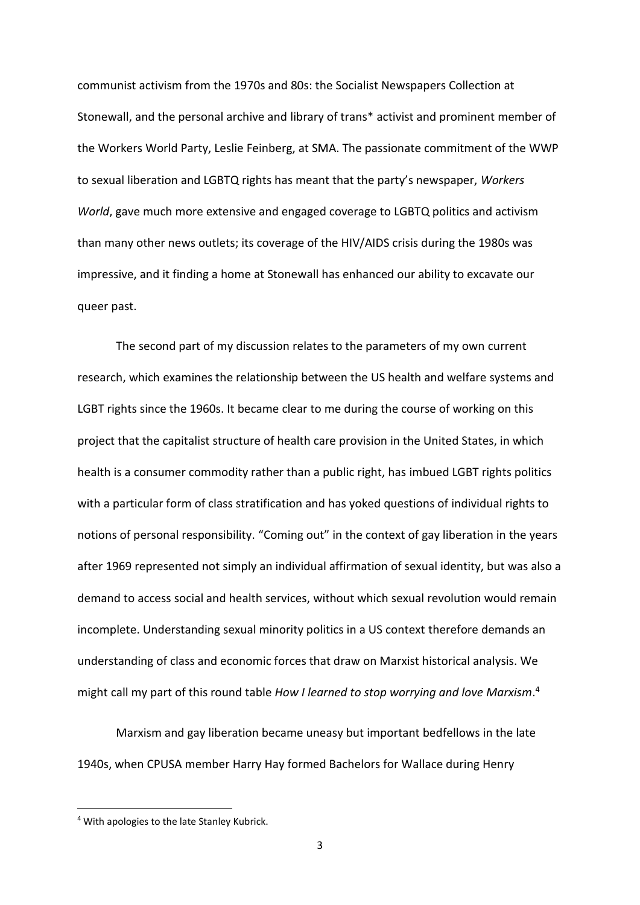communist activism from the 1970s and 80s: the Socialist Newspapers Collection at Stonewall, and the personal archive and library of trans\* activist and prominent member of the Workers World Party, Leslie Feinberg, at SMA. The passionate commitment of the WWP to sexual liberation and LGBTQ rights has meant that the party's newspaper, *Workers World*, gave much more extensive and engaged coverage to LGBTQ politics and activism than many other news outlets; its coverage of the HIV/AIDS crisis during the 1980s was impressive, and it finding a home at Stonewall has enhanced our ability to excavate our queer past.

The second part of my discussion relates to the parameters of my own current research, which examines the relationship between the US health and welfare systems and LGBT rights since the 1960s. It became clear to me during the course of working on this project that the capitalist structure of health care provision in the United States, in which health is a consumer commodity rather than a public right, has imbued LGBT rights politics with a particular form of class stratification and has yoked questions of individual rights to notions of personal responsibility. "Coming out" in the context of gay liberation in the years after 1969 represented not simply an individual affirmation of sexual identity, but was also a demand to access social and health services, without which sexual revolution would remain incomplete. Understanding sexual minority politics in a US context therefore demands an understanding of class and economic forces that draw on Marxist historical analysis. We might call my part of this round table *How I learned to stop worrying and love Marxism*. 4

Marxism and gay liberation became uneasy but important bedfellows in the late 1940s, when CPUSA member Harry Hay formed Bachelors for Wallace during Henry

<sup>4</sup> With apologies to the late Stanley Kubrick.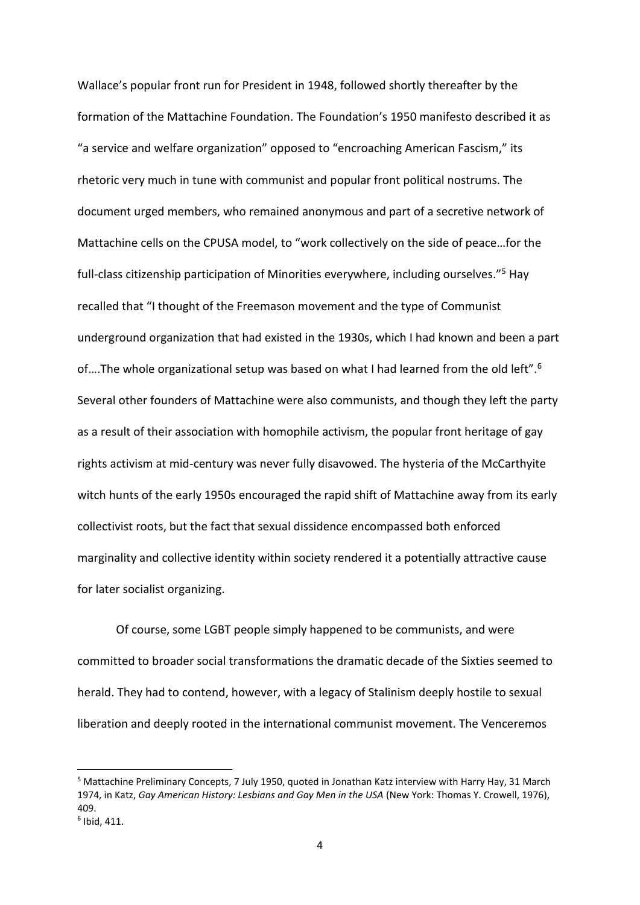Wallace's popular front run for President in 1948, followed shortly thereafter by the formation of the Mattachine Foundation. The Foundation's 1950 manifesto described it as "a service and welfare organization" opposed to "encroaching American Fascism," its rhetoric very much in tune with communist and popular front political nostrums. The document urged members, who remained anonymous and part of a secretive network of Mattachine cells on the CPUSA model, to "work collectively on the side of peace…for the full-class citizenship participation of Minorities everywhere, including ourselves."<sup>5</sup> Hay recalled that "I thought of the Freemason movement and the type of Communist underground organization that had existed in the 1930s, which I had known and been a part of….The whole organizational setup was based on what I had learned from the old left".<sup>6</sup> Several other founders of Mattachine were also communists, and though they left the party as a result of their association with homophile activism, the popular front heritage of gay rights activism at mid-century was never fully disavowed. The hysteria of the McCarthyite witch hunts of the early 1950s encouraged the rapid shift of Mattachine away from its early collectivist roots, but the fact that sexual dissidence encompassed both enforced marginality and collective identity within society rendered it a potentially attractive cause for later socialist organizing.

Of course, some LGBT people simply happened to be communists, and were committed to broader social transformations the dramatic decade of the Sixties seemed to herald. They had to contend, however, with a legacy of Stalinism deeply hostile to sexual liberation and deeply rooted in the international communist movement. The Venceremos

<sup>&</sup>lt;sup>5</sup> Mattachine Preliminary Concepts, 7 July 1950, quoted in Jonathan Katz interview with Harry Hay, 31 March 1974, in Katz, *Gay American History: Lesbians and Gay Men in the USA* (New York: Thomas Y. Crowell, 1976), 409.

<sup>6</sup> Ibid, 411.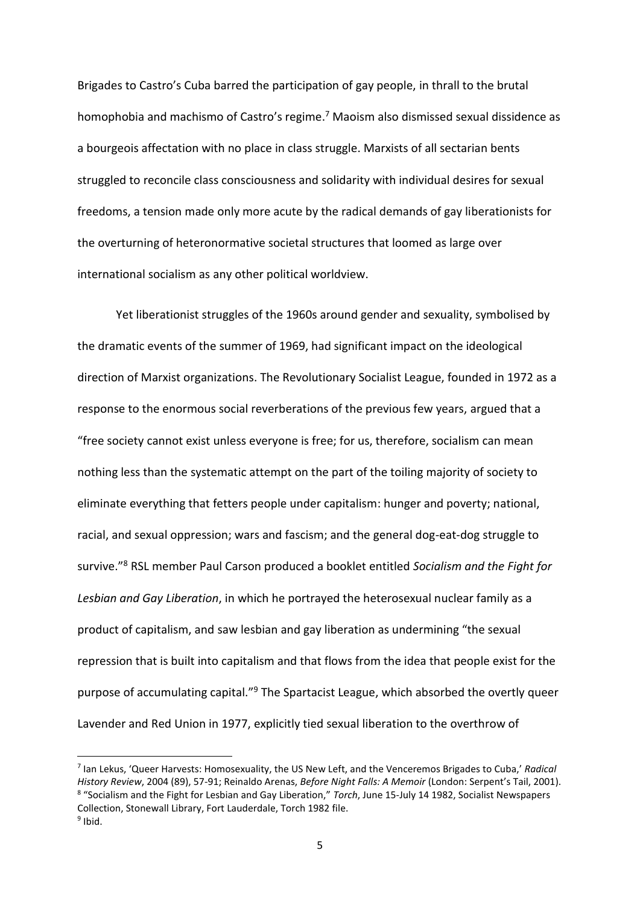Brigades to Castro's Cuba barred the participation of gay people, in thrall to the brutal homophobia and machismo of Castro's regime.<sup>7</sup> Maoism also dismissed sexual dissidence as a bourgeois affectation with no place in class struggle. Marxists of all sectarian bents struggled to reconcile class consciousness and solidarity with individual desires for sexual freedoms, a tension made only more acute by the radical demands of gay liberationists for the overturning of heteronormative societal structures that loomed as large over international socialism as any other political worldview.

Yet liberationist struggles of the 1960s around gender and sexuality, symbolised by the dramatic events of the summer of 1969, had significant impact on the ideological direction of Marxist organizations. The Revolutionary Socialist League, founded in 1972 as a response to the enormous social reverberations of the previous few years, argued that a "free society cannot exist unless everyone is free; for us, therefore, socialism can mean nothing less than the systematic attempt on the part of the toiling majority of society to eliminate everything that fetters people under capitalism: hunger and poverty; national, racial, and sexual oppression; wars and fascism; and the general dog-eat-dog struggle to survive."<sup>8</sup> RSL member Paul Carson produced a booklet entitled *Socialism and the Fight for Lesbian and Gay Liberation*, in which he portrayed the heterosexual nuclear family as a product of capitalism, and saw lesbian and gay liberation as undermining "the sexual repression that is built into capitalism and that flows from the idea that people exist for the purpose of accumulating capital."<sup>9</sup> The Spartacist League, which absorbed the overtly queer Lavender and Red Union in 1977, explicitly tied sexual liberation to the overthrow of

<sup>7</sup> Ian Lekus, 'Queer Harvests: Homosexuality, the US New Left, and the Venceremos Brigades to Cuba,' *Radical History Review*, 2004 (89), 57-91; Reinaldo Arenas, *Before Night Falls: A Memoir* (London: Serpent's Tail, 2001). 8 "Socialism and the Fight for Lesbian and Gay Liberation," *Torch*, June 15-July 14 1982, Socialist Newspapers Collection, Stonewall Library, Fort Lauderdale, Torch 1982 file. <sup>9</sup> Ibid.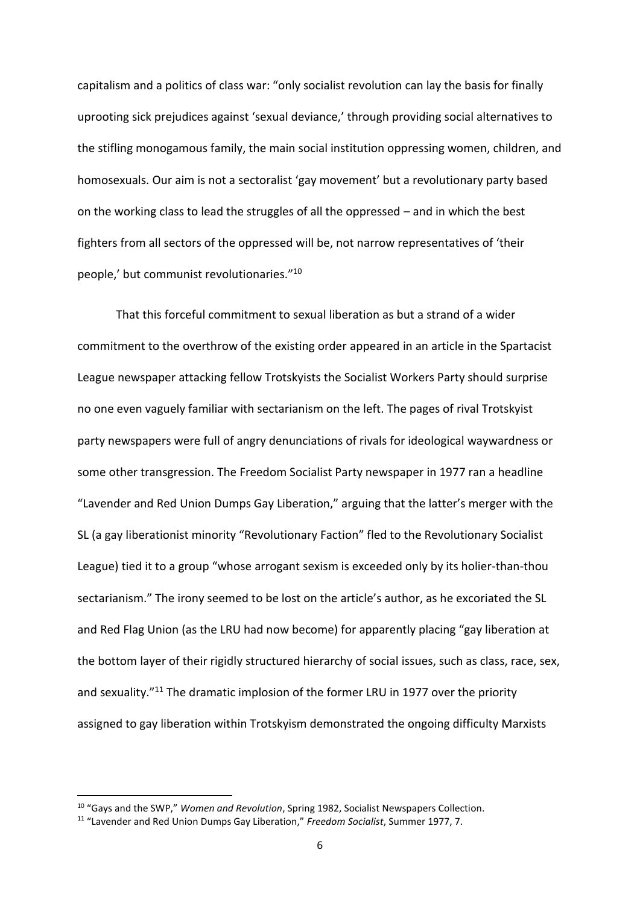capitalism and a politics of class war: "only socialist revolution can lay the basis for finally uprooting sick prejudices against 'sexual deviance,' through providing social alternatives to the stifling monogamous family, the main social institution oppressing women, children, and homosexuals. Our aim is not a sectoralist 'gay movement' but a revolutionary party based on the working class to lead the struggles of all the oppressed – and in which the best fighters from all sectors of the oppressed will be, not narrow representatives of 'their people,' but communist revolutionaries."<sup>10</sup>

That this forceful commitment to sexual liberation as but a strand of a wider commitment to the overthrow of the existing order appeared in an article in the Spartacist League newspaper attacking fellow Trotskyists the Socialist Workers Party should surprise no one even vaguely familiar with sectarianism on the left. The pages of rival Trotskyist party newspapers were full of angry denunciations of rivals for ideological waywardness or some other transgression. The Freedom Socialist Party newspaper in 1977 ran a headline "Lavender and Red Union Dumps Gay Liberation," arguing that the latter's merger with the SL (a gay liberationist minority "Revolutionary Faction" fled to the Revolutionary Socialist League) tied it to a group "whose arrogant sexism is exceeded only by its holier-than-thou sectarianism." The irony seemed to be lost on the article's author, as he excoriated the SL and Red Flag Union (as the LRU had now become) for apparently placing "gay liberation at the bottom layer of their rigidly structured hierarchy of social issues, such as class, race, sex, and sexuality."<sup>11</sup> The dramatic implosion of the former LRU in 1977 over the priority assigned to gay liberation within Trotskyism demonstrated the ongoing difficulty Marxists

<sup>10</sup> "Gays and the SWP," *Women and Revolution*, Spring 1982, Socialist Newspapers Collection.

<sup>11</sup> "Lavender and Red Union Dumps Gay Liberation," *Freedom Socialist*, Summer 1977, 7.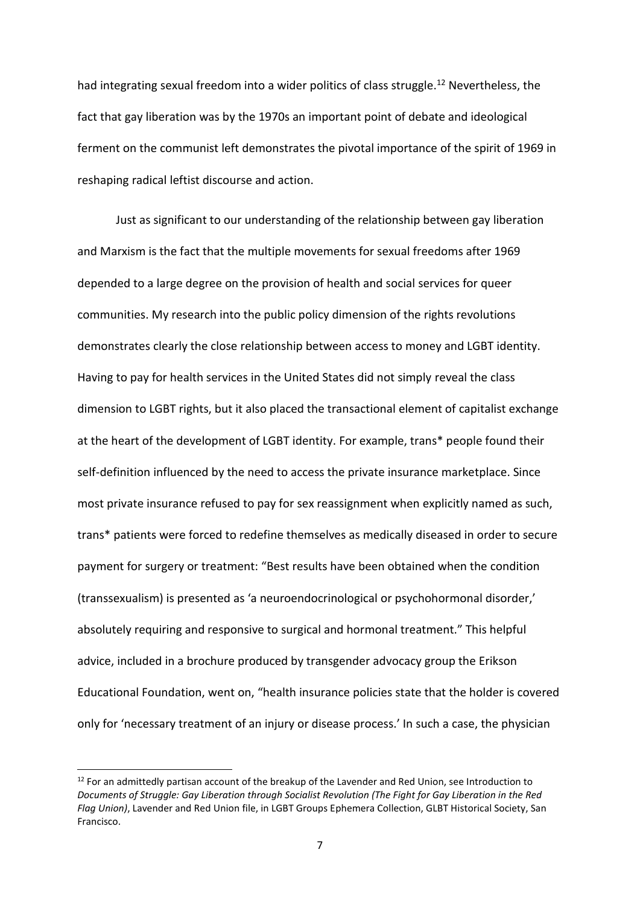had integrating sexual freedom into a wider politics of class struggle.<sup>12</sup> Nevertheless, the fact that gay liberation was by the 1970s an important point of debate and ideological ferment on the communist left demonstrates the pivotal importance of the spirit of 1969 in reshaping radical leftist discourse and action.

Just as significant to our understanding of the relationship between gay liberation and Marxism is the fact that the multiple movements for sexual freedoms after 1969 depended to a large degree on the provision of health and social services for queer communities. My research into the public policy dimension of the rights revolutions demonstrates clearly the close relationship between access to money and LGBT identity. Having to pay for health services in the United States did not simply reveal the class dimension to LGBT rights, but it also placed the transactional element of capitalist exchange at the heart of the development of LGBT identity. For example, trans\* people found their self-definition influenced by the need to access the private insurance marketplace. Since most private insurance refused to pay for sex reassignment when explicitly named as such, trans\* patients were forced to redefine themselves as medically diseased in order to secure payment for surgery or treatment: "Best results have been obtained when the condition (transsexualism) is presented as 'a neuroendocrinological or psychohormonal disorder,' absolutely requiring and responsive to surgical and hormonal treatment." This helpful advice, included in a brochure produced by transgender advocacy group the Erikson Educational Foundation, went on, "health insurance policies state that the holder is covered only for 'necessary treatment of an injury or disease process.' In such a case, the physician

<sup>&</sup>lt;sup>12</sup> For an admittedly partisan account of the breakup of the Lavender and Red Union, see Introduction to *Documents of Struggle: Gay Liberation through Socialist Revolution (The Fight for Gay Liberation in the Red Flag Union)*, Lavender and Red Union file, in LGBT Groups Ephemera Collection, GLBT Historical Society, San Francisco.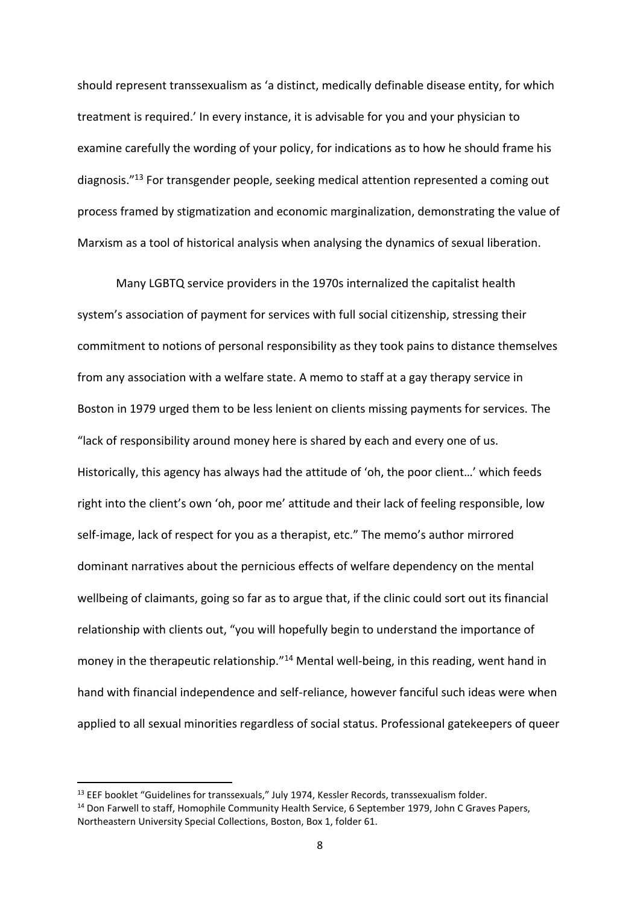should represent transsexualism as 'a distinct, medically definable disease entity, for which treatment is required.' In every instance, it is advisable for you and your physician to examine carefully the wording of your policy, for indications as to how he should frame his diagnosis."<sup>13</sup> For transgender people, seeking medical attention represented a coming out process framed by stigmatization and economic marginalization, demonstrating the value of Marxism as a tool of historical analysis when analysing the dynamics of sexual liberation.

Many LGBTQ service providers in the 1970s internalized the capitalist health system's association of payment for services with full social citizenship, stressing their commitment to notions of personal responsibility as they took pains to distance themselves from any association with a welfare state. A memo to staff at a gay therapy service in Boston in 1979 urged them to be less lenient on clients missing payments for services. The "lack of responsibility around money here is shared by each and every one of us. Historically, this agency has always had the attitude of 'oh, the poor client…' which feeds right into the client's own 'oh, poor me' attitude and their lack of feeling responsible, low self-image, lack of respect for you as a therapist, etc." The memo's author mirrored dominant narratives about the pernicious effects of welfare dependency on the mental wellbeing of claimants, going so far as to argue that, if the clinic could sort out its financial relationship with clients out, "you will hopefully begin to understand the importance of money in the therapeutic relationship."<sup>14</sup> Mental well-being, in this reading, went hand in hand with financial independence and self-reliance, however fanciful such ideas were when applied to all sexual minorities regardless of social status. Professional gatekeepers of queer

<sup>&</sup>lt;sup>13</sup> EEF booklet "Guidelines for transsexuals," July 1974, Kessler Records, transsexualism folder.

<sup>&</sup>lt;sup>14</sup> Don Farwell to staff, Homophile Community Health Service, 6 September 1979, John C Graves Papers, Northeastern University Special Collections, Boston, Box 1, folder 61.